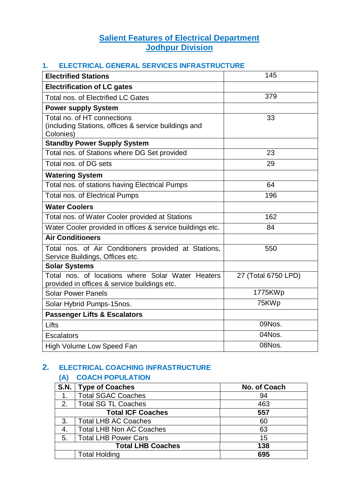# **Salient Features of Electrical Department Jodhpur Division**

#### **1. ELECTRICAL GENERAL SERVICES INFRASTRUCTURE**

| <b>Electrified Stations</b>                                                                       | 145                 |  |  |  |  |
|---------------------------------------------------------------------------------------------------|---------------------|--|--|--|--|
| <b>Electrification of LC gates</b>                                                                |                     |  |  |  |  |
| <b>Total nos, of Electrified LC Gates</b>                                                         | 379                 |  |  |  |  |
| <b>Power supply System</b>                                                                        |                     |  |  |  |  |
| Total no. of HT connections<br>(including Stations, offices & service buildings and<br>Colonies)  | 33                  |  |  |  |  |
| <b>Standby Power Supply System</b>                                                                |                     |  |  |  |  |
| Total nos. of Stations where DG Set provided                                                      | 23                  |  |  |  |  |
| Total nos. of DG sets                                                                             | 29                  |  |  |  |  |
| <b>Watering System</b>                                                                            |                     |  |  |  |  |
| Total nos. of stations having Electrical Pumps                                                    | 64                  |  |  |  |  |
| <b>Total nos. of Electrical Pumps</b>                                                             | 196                 |  |  |  |  |
| <b>Water Coolers</b>                                                                              |                     |  |  |  |  |
| Total nos. of Water Cooler provided at Stations                                                   | 162                 |  |  |  |  |
| Water Cooler provided in offices & service buildings etc.                                         | 84                  |  |  |  |  |
| <b>Air Conditioners</b>                                                                           |                     |  |  |  |  |
| Total nos. of Air Conditioners provided at Stations,<br>Service Buildings, Offices etc.           | 550                 |  |  |  |  |
| <b>Solar Systems</b>                                                                              |                     |  |  |  |  |
| Total nos, of locations where Solar Water Heaters<br>provided in offices & service buildings etc. | 27 (Total 6750 LPD) |  |  |  |  |
| <b>Solar Power Panels</b>                                                                         | 1775KWp             |  |  |  |  |
| Solar Hybrid Pumps-15nos.                                                                         | 75KWp               |  |  |  |  |
| <b>Passenger Lifts &amp; Escalators</b>                                                           |                     |  |  |  |  |
| Lifts                                                                                             | 09Nos.              |  |  |  |  |
| <b>Escalators</b>                                                                                 | 04Nos.              |  |  |  |  |
| <b>High Volume Low Speed Fan</b>                                                                  | 08Nos.              |  |  |  |  |

# **2. ELECTRICAL COACHING INFRASTRUCTURE**

### **(A) COACH POPULATION**

|                | S.N.   Type of Coaches          | No. of Coach |  |  |  |  |  |
|----------------|---------------------------------|--------------|--|--|--|--|--|
| $\mathbf{1}$ . | <b>Total SGAC Coaches</b>       | 94           |  |  |  |  |  |
| 2.             | Total SG TL Coaches             | 463          |  |  |  |  |  |
|                | <b>Total ICF Coaches</b>        | 557          |  |  |  |  |  |
| 3.             | <b>Total LHB AC Coaches</b>     | 60           |  |  |  |  |  |
| 4.             | <b>Total LHB Non AC Coaches</b> | 63           |  |  |  |  |  |
| 5.             | <b>Total LHB Power Cars</b>     | 15           |  |  |  |  |  |
|                | <b>Total LHB Coaches</b>        | 138          |  |  |  |  |  |
|                | <b>Total Holding</b>            | 695          |  |  |  |  |  |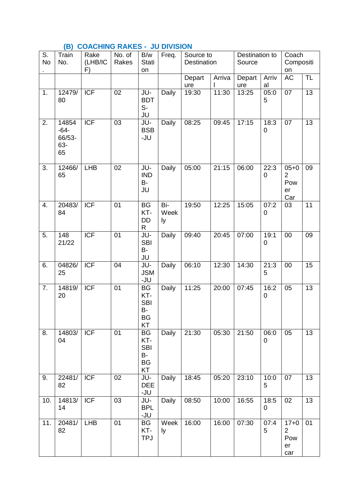# **(B) COACHING RAKES - JU DIVISION**

| S.<br><b>No</b> | Train<br>No.                           | Rake<br>(LHB/IC<br>F) | No. of<br>Rakes | B/w<br><b>Stati</b><br>on                                            | Freq.             | Source to<br>Destination |        | Destination to<br>Source |                     | Coach<br>Compositi<br>on                       |                 |
|-----------------|----------------------------------------|-----------------------|-----------------|----------------------------------------------------------------------|-------------------|--------------------------|--------|--------------------------|---------------------|------------------------------------------------|-----------------|
|                 |                                        |                       |                 |                                                                      |                   | Depart<br>ure            | Arriva | Depart<br>ure            | Arriv<br>al         | <b>AC</b>                                      | <b>TL</b>       |
| 1.              | 12479/<br>80                           | <b>ICF</b>            | 02              | JU-<br><b>BDT</b><br>$S-$<br>JU                                      | Daily             | 19:30                    | 11:30  | 13:25                    | 05:0<br>5           | 07                                             | $\overline{13}$ |
| 2.              | 14854<br>$-64-$<br>66/53-<br>63-<br>65 | <b>ICF</b>            | 03              | JU-<br><b>BSB</b><br>-JU                                             | Daily             | 08:25                    | 09:45  | 17:15                    | 18:3<br>0           | 07                                             | 13              |
| 3.              | 12466/<br>65                           | <b>LHB</b>            | 02              | JU-<br><b>IND</b><br><b>B-</b><br>JU                                 | Daily             | 05:00                    | 21:15  | 06:00                    | 22:3<br>$\mathbf 0$ | $05 + 0$<br>$\overline{2}$<br>Pow<br>er<br>Car | 09              |
| 4.              | 20483/<br>84                           | <b>ICF</b>            | 01              | <b>BG</b><br>KT-<br>DD<br>$\mathsf{R}$                               | Bi-<br>Week<br>ly | 19:50                    | 12:25  | 15:05                    | 07:2<br>0           | 03                                             | 11              |
| 5.              | 148<br>21/22                           | <b>ICF</b>            | 01              | JU-<br><b>SBI</b><br>B-<br>JU                                        | Daily             | 09:40                    | 20:45  | 07:00                    | 19:1<br>0           | 00                                             | 09              |
| 6.              | 04826/<br>25                           | <b>ICF</b>            | 04              | JU-<br><b>JSM</b><br>-JU                                             | Daily             | 06:10                    | 12:30  | 14:30                    | 21:3<br>5           | 00                                             | 15              |
| 7.              | 14819/<br>20                           | <b>ICF</b>            | 01              | <b>BG</b><br>KT-<br><b>SBI</b><br>B-<br><b>BG</b><br>KT              | Daily             | 11:25                    | 20:00  | 07:45                    | 16:2<br>$\pmb{0}$   | 05                                             | 13              |
| 8.              | 14803/<br>04                           | ICF                   | $\overline{01}$ | $\overline{\text{BG}}$<br>KT-<br><b>SBI</b><br>B-<br><b>BG</b><br>KT | <b>Daily</b>      | 21:30                    | 05:30  | 21:50                    | 06:0<br>$\mathbf 0$ | 05                                             | $\overline{13}$ |
| 9.              | 22481/<br>82                           | <b>ICF</b>            | 02              | JU-<br><b>DEE</b><br>-JU                                             | <b>Daily</b>      | 18:45                    | 05:20  | 23:10                    | 10:0<br>5           | 07                                             | 13              |
| 10.             | 14813/<br>14                           | <b>ICF</b>            | 03              | JU-<br><b>BPL</b><br>-JU                                             | Daily             | 08:50                    | 10:00  | 16:55                    | 18:5<br>0           | 02                                             | 13              |
| 11.             | 20481/<br>82                           | <b>LHB</b>            | 01              | BG<br>KT-<br><b>TPJ</b>                                              | Week<br>ly        | 16:00                    | 16:00  | 07:30                    | 07:4<br>5           | $17 + 0$<br>$\overline{2}$<br>Pow<br>er<br>car | 01              |